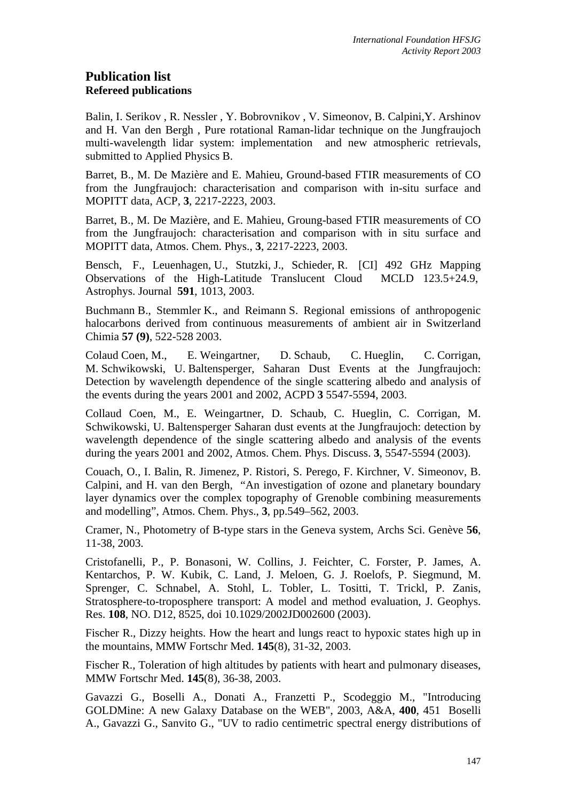# **Publication list Refereed publications**

Balin, I. Serikov , R. Nessler , Y. Bobrovnikov , V. Simeonov, B. Calpini,Y. Arshinov and H. Van den Bergh , Pure rotational Raman-lidar technique on the Jungfraujoch multi-wavelength lidar system: implementation and new atmospheric retrievals, submitted to Applied Physics B.

Barret, B., M. De Mazière and E. Mahieu, Ground-based FTIR measurements of CO from the Jungfraujoch: characterisation and comparison with in-situ surface and MOPITT data, ACP, **3**, 2217-2223, 2003.

Barret, B., M. De Mazière, and E. Mahieu, Groung-based FTIR measurements of CO from the Jungfraujoch: characterisation and comparison with in situ surface and MOPITT data, Atmos. Chem. Phys., **3**, 2217-2223, 2003.

Bensch, F., Leuenhagen, U., Stutzki, J., Schieder, R. [CI] 492 GHz Mapping Observations of the High-Latitude Translucent Cloud MCLD 123.5+24.9, Astrophys. Journal **591**, 1013, 2003.

Buchmann B., Stemmler K., and Reimann S. Regional emissions of anthropogenic halocarbons derived from continuous measurements of ambient air in Switzerland Chimia **57 (9)**, 522-528 2003.

Colaud Coen, M., E. Weingartner, D. Schaub, C. Hueglin, C. Corrigan, M. Schwikowski, U. Baltensperger, Saharan Dust Events at the Jungfraujoch: Detection by wavelength dependence of the single scattering albedo and analysis of the events during the years 2001 and 2002, ACPD **3** 5547-5594, 2003.

Collaud Coen, M., E. Weingartner, D. Schaub, C. Hueglin, C. Corrigan, M. Schwikowski, U. Baltensperger Saharan dust events at the Jungfraujoch: detection by wavelength dependence of the single scattering albedo and analysis of the events during the years 2001 and 2002, Atmos. Chem. Phys. Discuss. **3**, 5547-5594 (2003).

Couach, O., I. Balin, R. Jimenez, P. Ristori, S. Perego, F. Kirchner, V. Simeonov, B. Calpini, and H. van den Bergh, "An investigation of ozone and planetary boundary layer dynamics over the complex topography of Grenoble combining measurements and modelling", Atmos. Chem. Phys., **3**, pp.549–562, 2003.

Cramer, N., Photometry of B-type stars in the Geneva system, Archs Sci. Genève **56**, 11-38, 2003.

Cristofanelli, P., P. Bonasoni, W. Collins, J. Feichter, C. Forster, P. James, A. Kentarchos, P. W. Kubik, C. Land, J. Meloen, G. J. Roelofs, P. Siegmund, M. Sprenger, C. Schnabel, A. Stohl, L. Tobler, L. Tositti, T. Trickl, P. Zanis, Stratosphere-to-troposphere transport: A model and method evaluation, J. Geophys. Res. **108**, NO. D12, 8525, doi 10.1029/2002JD002600 (2003).

Fischer R., Dizzy heights. How the heart and lungs react to hypoxic states high up in the mountains, MMW Fortschr Med. **145**(8), 31-32, 2003.

Fischer R., Toleration of high altitudes by patients with heart and pulmonary diseases, MMW Fortschr Med. **145**(8), 36-38, 2003.

Gavazzi G., Boselli A., Donati A., Franzetti P., Scodeggio M., "Introducing GOLDMine: A new Galaxy Database on the WEB", 2003, A&A, **400**, 451 Boselli A., Gavazzi G., Sanvito G., "UV to radio centimetric spectral energy distributions of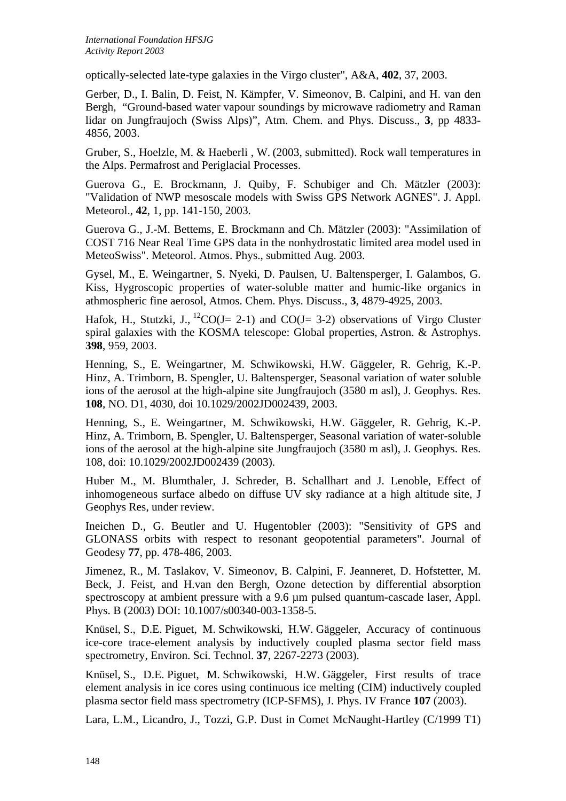optically-selected late-type galaxies in the Virgo cluster", A&A, **402**, 37, 2003.

Gerber, D., I. Balin, D. Feist, N. Kämpfer, V. Simeonov, B. Calpini, and H. van den Bergh, "Ground-based water vapour soundings by microwave radiometry and Raman lidar on Jungfraujoch (Swiss Alps)", Atm. Chem. and Phys. Discuss., **3**, pp 4833- 4856, 2003.

Gruber, S., Hoelzle, M. & Haeberli , W. (2003, submitted). Rock wall temperatures in the Alps. Permafrost and Periglacial Processes.

Guerova G., E. Brockmann, J. Quiby, F. Schubiger and Ch. Mätzler (2003): "Validation of NWP mesoscale models with Swiss GPS Network AGNES". J. Appl. Meteorol., **42**, 1, pp. 141-150, 2003.

Guerova G., J.-M. Bettems, E. Brockmann and Ch. Mätzler (2003): "Assimilation of COST 716 Near Real Time GPS data in the nonhydrostatic limited area model used in MeteoSwiss". Meteorol. Atmos. Phys., submitted Aug. 2003.

Gysel, M., E. Weingartner, S. Nyeki, D. Paulsen, U. Baltensperger, I. Galambos, G. Kiss, Hygroscopic properties of water-soluble matter and humic-like organics in athmospheric fine aerosol, Atmos. Chem. Phys. Discuss., **3**, 4879-4925, 2003.

Hafok, H., Stutzki, J.,  ${}^{12}CO(J= 2-1)$  and  $CO(J= 3-2)$  observations of Virgo Cluster spiral galaxies with the KOSMA telescope: Global properties, Astron. & Astrophys. **398**, 959, 2003.

Henning, S., E. Weingartner, M. Schwikowski, H.W. Gäggeler, R. Gehrig, K.-P. Hinz, A. Trimborn, B. Spengler, U. Baltensperger, Seasonal variation of water soluble ions of the aerosol at the high-alpine site Jungfraujoch (3580 m asl), J. Geophys. Res. **108**, NO. D1, 4030, doi 10.1029/2002JD002439, 2003.

Henning, S., E. Weingartner, M. Schwikowski, H.W. Gäggeler, R. Gehrig, K.-P. Hinz, A. Trimborn, B. Spengler, U. Baltensperger, Seasonal variation of water-soluble ions of the aerosol at the high-alpine site Jungfraujoch (3580 m asl), J. Geophys. Res. 108, doi: 10.1029/2002JD002439 (2003).

Huber M., M. Blumthaler, J. Schreder, B. Schallhart and J. Lenoble, Effect of inhomogeneous surface albedo on diffuse UV sky radiance at a high altitude site, J Geophys Res, under review.

Ineichen D., G. Beutler and U. Hugentobler (2003): "Sensitivity of GPS and GLONASS orbits with respect to resonant geopotential parameters". Journal of Geodesy **77**, pp. 478-486, 2003.

Jimenez, R., M. Taslakov, V. Simeonov, B. Calpini, F. Jeanneret, D. Hofstetter, M. Beck, J. Feist, and H.van den Bergh, Ozone detection by differential absorption spectroscopy at ambient pressure with a 9.6 µm pulsed quantum-cascade laser, Appl. Phys. B (2003) DOI: 10.1007/s00340-003-1358-5.

Knüsel, S., D.E. Piguet, M. Schwikowski, H.W. Gäggeler, Accuracy of continuous ice-core trace-element analysis by inductively coupled plasma sector field mass spectrometry, Environ. Sci. Technol. **37**, 2267-2273 (2003).

Knüsel, S., D.E. Piguet, M. Schwikowski, H.W. Gäggeler, First results of trace element analysis in ice cores using continuous ice melting (CIM) inductively coupled plasma sector field mass spectrometry (ICP-SFMS), J. Phys. IV France **107** (2003).

Lara, L.M., Licandro, J., Tozzi, G.P. Dust in Comet McNaught-Hartley (C/1999 T1)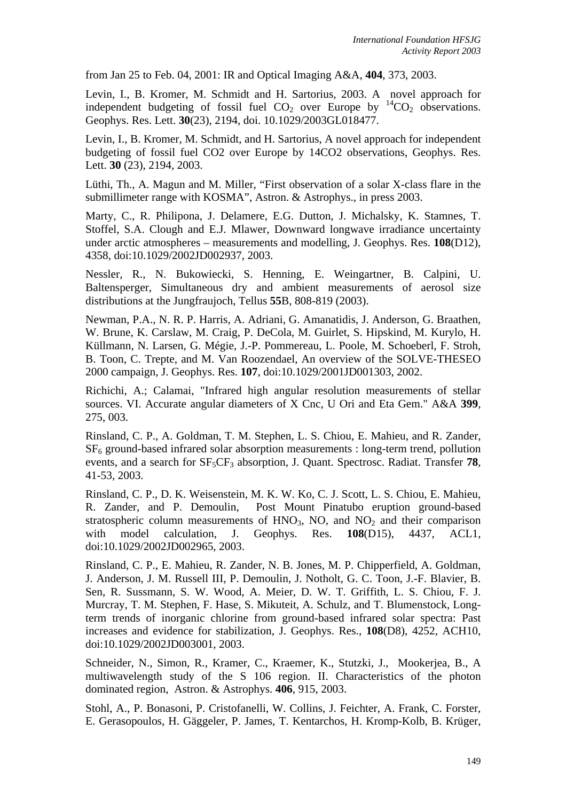from Jan 25 to Feb. 04, 2001: IR and Optical Imaging A&A, **404**, 373, 2003.

Levin, I., B. Kromer, M. Schmidt and H. Sartorius, 2003. A novel approach for independent budgeting of fossil fuel  $CO<sub>2</sub>$  over Europe by  $^{14}CO<sub>2</sub>$  observations. Geophys. Res. Lett. **30**(23), 2194, doi. 10.1029/2003GL018477.

Levin, I., B. Kromer, M. Schmidt, and H. Sartorius, A novel approach for independent budgeting of fossil fuel CO2 over Europe by 14CO2 observations, Geophys. Res. Lett. **30** (23), 2194, 2003.

Lüthi, Th., A. Magun and M. Miller, "First observation of a solar X-class flare in the submillimeter range with KOSMA", Astron. & Astrophys., in press 2003.

Marty, C., R. Philipona, J. Delamere, E.G. Dutton, J. Michalsky, K. Stamnes, T. Stoffel, S.A. Clough and E.J. Mlawer, Downward longwave irradiance uncertainty under arctic atmospheres – measurements and modelling, J. Geophys. Res. **108**(D12), 4358, doi:10.1029/2002JD002937, 2003.

Nessler, R., N. Bukowiecki, S. Henning, E. Weingartner, B. Calpini, U. Baltensperger, Simultaneous dry and ambient measurements of aerosol size distributions at the Jungfraujoch, Tellus **55**B, 808-819 (2003).

Newman, P.A., N. R. P. Harris, A. Adriani, G. Amanatidis, J. Anderson, G. Braathen, W. Brune, K. Carslaw, M. Craig, P. DeCola, M. Guirlet, S. Hipskind, M. Kurylo, H. Küllmann, N. Larsen, G. Mégie, J.-P. Pommereau, L. Poole, M. Schoeberl, F. Stroh, B. Toon, C. Trepte, and M. Van Roozendael, An overview of the SOLVE-THESEO 2000 campaign, J. Geophys. Res. **107**, doi:10.1029/2001JD001303, 2002.

Richichi, A.; Calamai, "Infrared high angular resolution measurements of stellar sources. VI. Accurate angular diameters of X Cnc, U Ori and Eta Gem." A&A **399**, 275, 003.

Rinsland, C. P., A. Goldman, T. M. Stephen, L. S. Chiou, E. Mahieu, and R. Zander, SF6 ground-based infrared solar absorption measurements : long-term trend, pollution events, and a search for  $SF_5CF_3$  absorption, J. Quant. Spectrosc. Radiat. Transfer **78**, 41-53, 2003.

Rinsland, C. P., D. K. Weisenstein, M. K. W. Ko, C. J. Scott, L. S. Chiou, E. Mahieu, R. Zander, and P. Demoulin, Post Mount Pinatubo eruption ground-based stratospheric column measurements of  $HNO<sub>3</sub>$ , NO, and NO<sub>2</sub> and their comparison with model calculation, J. Geophys. Res. **108**(D15), 4437, ACL1, doi:10.1029/2002JD002965, 2003.

Rinsland, C. P., E. Mahieu, R. Zander, N. B. Jones, M. P. Chipperfield, A. Goldman, J. Anderson, J. M. Russell III, P. Demoulin, J. Notholt, G. C. Toon, J.-F. Blavier, B. Sen, R. Sussmann, S. W. Wood, A. Meier, D. W. T. Griffith, L. S. Chiou, F. J. Murcray, T. M. Stephen, F. Hase, S. Mikuteit, A. Schulz, and T. Blumenstock, Longterm trends of inorganic chlorine from ground-based infrared solar spectra: Past increases and evidence for stabilization, J. Geophys. Res., **108**(D8), 4252, ACH10, doi:10.1029/2002JD003001, 2003.

Schneider, N., Simon, R., Kramer, C., Kraemer, K., Stutzki, J., Mookerjea, B., A multiwavelength study of the S 106 region. II. Characteristics of the photon dominated region, Astron. & Astrophys. **406**, 915, 2003.

Stohl, A., P. Bonasoni, P. Cristofanelli, W. Collins, J. Feichter, A. Frank, C. Forster, E. Gerasopoulos, H. Gäggeler, P. James, T. Kentarchos, H. Kromp-Kolb, B. Krüger,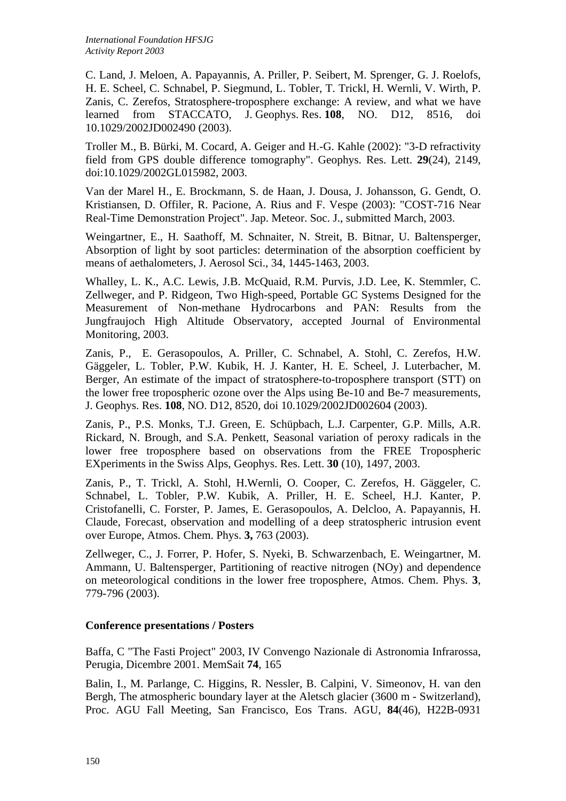C. Land, J. Meloen, A. Papayannis, A. Priller, P. Seibert, M. Sprenger, G. J. Roelofs, H. E. Scheel, C. Schnabel, P. Siegmund, L. Tobler, T. Trickl, H. Wernli, V. Wirth, P. Zanis, C. Zerefos, Stratosphere-troposphere exchange: A review, and what we have learned from STACCATO, J. Geophys. Res. **108**, NO. D12, 8516, doi 10.1029/2002JD002490 (2003).

Troller M., B. Bürki, M. Cocard, A. Geiger and H.-G. Kahle (2002): "3-D refractivity field from GPS double difference tomography". Geophys. Res. Lett. **29**(24), 2149, doi:10.1029/2002GL015982, 2003.

Van der Marel H., E. Brockmann, S. de Haan, J. Dousa, J. Johansson, G. Gendt, O. Kristiansen, D. Offiler, R. Pacione, A. Rius and F. Vespe (2003): "COST-716 Near Real-Time Demonstration Project". Jap. Meteor. Soc. J., submitted March, 2003.

Weingartner, E., H. Saathoff, M. Schnaiter, N. Streit, B. Bitnar, U. Baltensperger, Absorption of light by soot particles: determination of the absorption coefficient by means of aethalometers, J. Aerosol Sci., 34, 1445-1463, 2003.

Whalley, L. K., A.C. Lewis, J.B. McQuaid, R.M. Purvis, J.D. Lee, K. Stemmler, C. Zellweger, and P. Ridgeon, Two High-speed, Portable GC Systems Designed for the Measurement of Non-methane Hydrocarbons and PAN: Results from the Jungfraujoch High Altitude Observatory, accepted Journal of Environmental Monitoring, 2003.

Zanis, P., E. Gerasopoulos, A. Priller, C. Schnabel, A. Stohl, C. Zerefos, H.W. Gäggeler, L. Tobler, P.W. Kubik, H. J. Kanter, H. E. Scheel, J. Luterbacher, M. Berger, An estimate of the impact of stratosphere-to-troposphere transport (STT) on the lower free tropospheric ozone over the Alps using Be-10 and Be-7 measurements, J. Geophys. Res. **108**, NO. D12, 8520, doi 10.1029/2002JD002604 (2003).

Zanis, P., P.S. Monks, T.J. Green, E. Schüpbach, L.J. Carpenter, G.P. Mills, A.R. Rickard, N. Brough, and S.A. Penkett, Seasonal variation of peroxy radicals in the lower free troposphere based on observations from the FREE Tropospheric EXperiments in the Swiss Alps, Geophys. Res. Lett. **30** (10), 1497, 2003.

Zanis, P., T. Trickl, A. Stohl, H.Wernli, O. Cooper, C. Zerefos, H. Gäggeler, C. Schnabel, L. Tobler, P.W. Kubik, A. Priller, H. E. Scheel, H.J. Kanter, P. Cristofanelli, C. Forster, P. James, E. Gerasopoulos, A. Delcloo, A. Papayannis, H. Claude, Forecast, observation and modelling of a deep stratospheric intrusion event over Europe, Atmos. Chem. Phys. **3,** 763 (2003).

Zellweger, C., J. Forrer, P. Hofer, S. Nyeki, B. Schwarzenbach, E. Weingartner, M. Ammann, U. Baltensperger, Partitioning of reactive nitrogen (NOy) and dependence on meteorological conditions in the lower free troposphere, Atmos. Chem. Phys. **3**, 779-796 (2003).

### **Conference presentations / Posters**

Baffa, C "The Fasti Project" 2003, IV Convengo Nazionale di Astronomia Infrarossa, Perugia, Dicembre 2001. MemSait **74**, 165

Balin, I., M. Parlange, C. Higgins, R. Nessler, B. Calpini, V. Simeonov, H. van den Bergh, The atmospheric boundary layer at the Aletsch glacier (3600 m - Switzerland), Proc. AGU Fall Meeting, San Francisco, Eos Trans. AGU, **84**(46), H22B-0931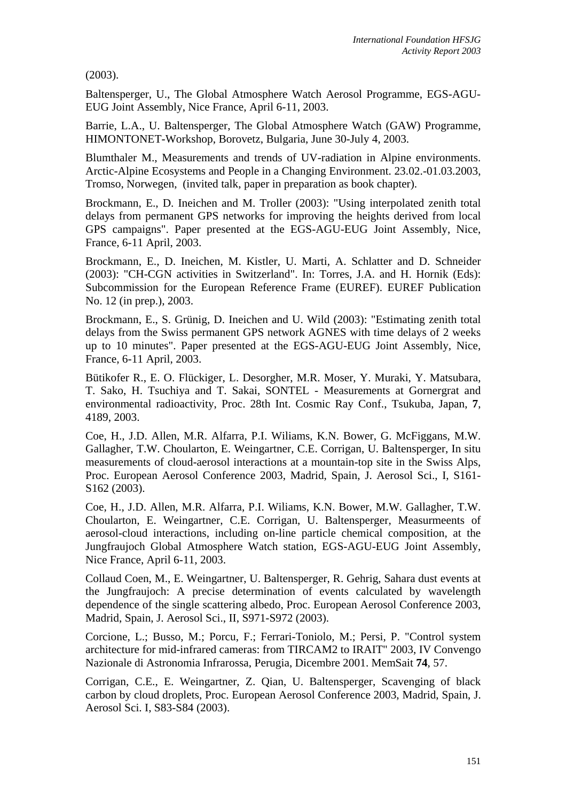(2003).

Baltensperger, U., The Global Atmosphere Watch Aerosol Programme, EGS-AGU-EUG Joint Assembly, Nice France, April 6-11, 2003.

Barrie, L.A., U. Baltensperger, The Global Atmosphere Watch (GAW) Programme, HIMONTONET-Workshop, Borovetz, Bulgaria, June 30-July 4, 2003.

Blumthaler M., Measurements and trends of UV-radiation in Alpine environments. Arctic-Alpine Ecosystems and People in a Changing Environment. 23.02.-01.03.2003, Tromso, Norwegen, (invited talk, paper in preparation as book chapter).

Brockmann, E., D. Ineichen and M. Troller (2003): "Using interpolated zenith total delays from permanent GPS networks for improving the heights derived from local GPS campaigns". Paper presented at the EGS-AGU-EUG Joint Assembly, Nice, France, 6-11 April, 2003.

Brockmann, E., D. Ineichen, M. Kistler, U. Marti, A. Schlatter and D. Schneider (2003): "CH-CGN activities in Switzerland". In: Torres, J.A. and H. Hornik (Eds): Subcommission for the European Reference Frame (EUREF). EUREF Publication No. 12 (in prep.), 2003.

Brockmann, E., S. Grünig, D. Ineichen and U. Wild (2003): "Estimating zenith total delays from the Swiss permanent GPS network AGNES with time delays of 2 weeks up to 10 minutes". Paper presented at the EGS-AGU-EUG Joint Assembly, Nice, France, 6-11 April, 2003.

Bütikofer R., E. O. Flückiger, L. Desorgher, M.R. Moser, Y. Muraki, Y. Matsubara, T. Sako, H. Tsuchiya and T. Sakai, SONTEL - Measurements at Gornergrat and environmental radioactivity, Proc. 28th Int. Cosmic Ray Conf., Tsukuba, Japan, **7**, 4189, 2003.

Coe, H., J.D. Allen, M.R. Alfarra, P.I. Wiliams, K.N. Bower, G. McFiggans, M.W. Gallagher, T.W. Choularton, E. Weingartner, C.E. Corrigan, U. Baltensperger, In situ measurements of cloud-aerosol interactions at a mountain-top site in the Swiss Alps, Proc. European Aerosol Conference 2003, Madrid, Spain, J. Aerosol Sci., I, S161- S162 (2003).

Coe, H., J.D. Allen, M.R. Alfarra, P.I. Wiliams, K.N. Bower, M.W. Gallagher, T.W. Choularton, E. Weingartner, C.E. Corrigan, U. Baltensperger, Measurmeents of aerosol-cloud interactions, including on-line particle chemical composition, at the Jungfraujoch Global Atmosphere Watch station, EGS-AGU-EUG Joint Assembly, Nice France, April 6-11, 2003.

Collaud Coen, M., E. Weingartner, U. Baltensperger, R. Gehrig, Sahara dust events at the Jungfraujoch: A precise determination of events calculated by wavelength dependence of the single scattering albedo, Proc. European Aerosol Conference 2003, Madrid, Spain, J. Aerosol Sci., II, S971-S972 (2003).

Corcione, L.; Busso, M.; Porcu, F.; Ferrari-Toniolo, M.; Persi, P. "Control system architecture for mid-infrared cameras: from TIRCAM2 to IRAIT" 2003, IV Convengo Nazionale di Astronomia Infrarossa, Perugia, Dicembre 2001. MemSait **74**, 57.

Corrigan, C.E., E. Weingartner, Z. Qian, U. Baltensperger, Scavenging of black carbon by cloud droplets, Proc. European Aerosol Conference 2003, Madrid, Spain, J. Aerosol Sci. I, S83-S84 (2003).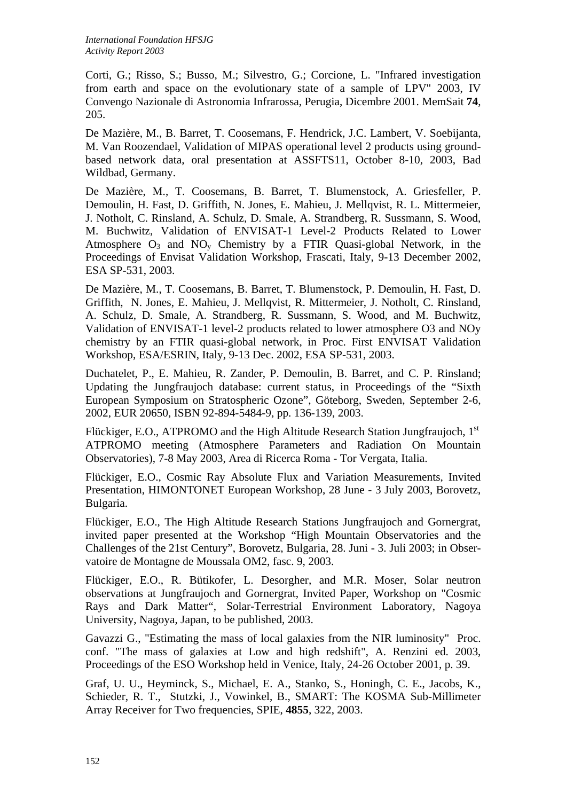Corti, G.; Risso, S.; Busso, M.; Silvestro, G.; Corcione, L. "Infrared investigation from earth and space on the evolutionary state of a sample of LPV" 2003, IV Convengo Nazionale di Astronomia Infrarossa, Perugia, Dicembre 2001. MemSait **74**, 205.

De Mazière, M., B. Barret, T. Coosemans, F. Hendrick, J.C. Lambert, V. Soebijanta, M. Van Roozendael, Validation of MIPAS operational level 2 products using groundbased network data, oral presentation at ASSFTS11, October 8-10, 2003, Bad Wildbad, Germany.

De Mazière, M., T. Coosemans, B. Barret, T. Blumenstock, A. Griesfeller, P. Demoulin, H. Fast, D. Griffith, N. Jones, E. Mahieu, J. Mellqvist, R. L. Mittermeier, J. Notholt, C. Rinsland, A. Schulz, D. Smale, A. Strandberg, R. Sussmann, S. Wood, M. Buchwitz, Validation of ENVISAT-1 Level-2 Products Related to Lower Atmosphere  $O_3$  and  $NO_v$  Chemistry by a FTIR Quasi-global Network, in the Proceedings of Envisat Validation Workshop, Frascati, Italy, 9-13 December 2002, ESA SP-531, 2003.

De Mazière, M., T. Coosemans, B. Barret, T. Blumenstock, P. Demoulin, H. Fast, D. Griffith, N. Jones, E. Mahieu, J. Mellqvist, R. Mittermeier, J. Notholt, C. Rinsland, A. Schulz, D. Smale, A. Strandberg, R. Sussmann, S. Wood, and M. Buchwitz, Validation of ENVISAT-1 level-2 products related to lower atmosphere O3 and NOy chemistry by an FTIR quasi-global network, in Proc. First ENVISAT Validation Workshop, ESA/ESRIN, Italy, 9-13 Dec. 2002, ESA SP-531, 2003.

Duchatelet, P., E. Mahieu, R. Zander, P. Demoulin, B. Barret, and C. P. Rinsland; Updating the Jungfraujoch database: current status, in Proceedings of the "Sixth European Symposium on Stratospheric Ozone", Göteborg, Sweden, September 2-6, 2002, EUR 20650, ISBN 92-894-5484-9, pp. 136-139, 2003.

Flückiger, E.O., ATPROMO and the High Altitude Research Station Jungfraujoch, 1<sup>st</sup> ATPROMO meeting (Atmosphere Parameters and Radiation On Mountain Observatories), 7-8 May 2003, Area di Ricerca Roma - Tor Vergata, Italia.

Flückiger, E.O., Cosmic Ray Absolute Flux and Variation Measurements, Invited Presentation, HIMONTONET European Workshop, 28 June - 3 July 2003, Borovetz, Bulgaria.

Flückiger, E.O., The High Altitude Research Stations Jungfraujoch and Gornergrat, invited paper presented at the Workshop "High Mountain Observatories and the Challenges of the 21st Century", Borovetz, Bulgaria, 28. Juni - 3. Juli 2003; in Observatoire de Montagne de Moussala OM2, fasc. 9, 2003.

Flückiger, E.O., R. Bütikofer, L. Desorgher, and M.R. Moser, Solar neutron observations at Jungfraujoch and Gornergrat, Invited Paper, Workshop on "Cosmic Rays and Dark Matter", Solar-Terrestrial Environment Laboratory, Nagoya University, Nagoya, Japan, to be published, 2003.

Gavazzi G., "Estimating the mass of local galaxies from the NIR luminosity" Proc. conf. "The mass of galaxies at Low and high redshift", A. Renzini ed. 2003, Proceedings of the ESO Workshop held in Venice, Italy, 24-26 October 2001, p. 39.

Graf, U. U., Heyminck, S., Michael, E. A., Stanko, S., Honingh, C. E., Jacobs, K., Schieder, R. T., Stutzki, J., Vowinkel, B., SMART: The KOSMA Sub-Millimeter Array Receiver for Two frequencies, SPIE, **4855**, 322, 2003.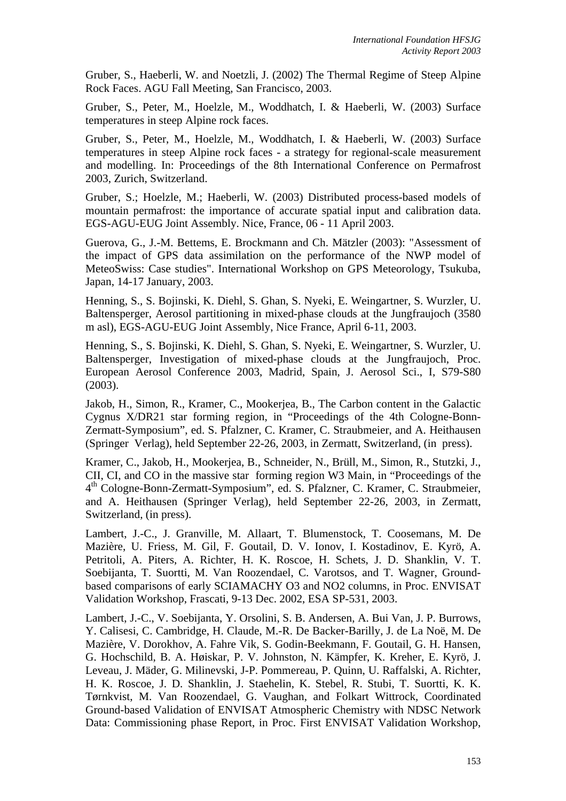Gruber, S., Haeberli, W. and Noetzli, J. (2002) The Thermal Regime of Steep Alpine Rock Faces. AGU Fall Meeting, San Francisco, 2003.

Gruber, S., Peter, M., Hoelzle, M., Woddhatch, I. & Haeberli, W. (2003) Surface temperatures in steep Alpine rock faces.

Gruber, S., Peter, M., Hoelzle, M., Woddhatch, I. & Haeberli, W. (2003) Surface temperatures in steep Alpine rock faces - a strategy for regional-scale measurement and modelling. In: Proceedings of the 8th International Conference on Permafrost 2003, Zurich, Switzerland.

Gruber, S.; Hoelzle, M.; Haeberli, W. (2003) Distributed process-based models of mountain permafrost: the importance of accurate spatial input and calibration data. EGS-AGU-EUG Joint Assembly. Nice, France, 06 - 11 April 2003.

Guerova, G., J.-M. Bettems, E. Brockmann and Ch. Mätzler (2003): "Assessment of the impact of GPS data assimilation on the performance of the NWP model of MeteoSwiss: Case studies". International Workshop on GPS Meteorology, Tsukuba, Japan, 14-17 January, 2003.

Henning, S., S. Bojinski, K. Diehl, S. Ghan, S. Nyeki, E. Weingartner, S. Wurzler, U. Baltensperger, Aerosol partitioning in mixed-phase clouds at the Jungfraujoch (3580 m asl), EGS-AGU-EUG Joint Assembly, Nice France, April 6-11, 2003.

Henning, S., S. Bojinski, K. Diehl, S. Ghan, S. Nyeki, E. Weingartner, S. Wurzler, U. Baltensperger, Investigation of mixed-phase clouds at the Jungfraujoch, Proc. European Aerosol Conference 2003, Madrid, Spain, J. Aerosol Sci., I, S79-S80 (2003).

Jakob, H., Simon, R., Kramer, C., Mookerjea, B., The Carbon content in the Galactic Cygnus X/DR21 star forming region, in "Proceedings of the 4th Cologne-Bonn-Zermatt-Symposium", ed. S. Pfalzner, C. Kramer, C. Straubmeier, and A. Heithausen (Springer Verlag), held September 22-26, 2003, in Zermatt, Switzerland, (in press).

Kramer, C., Jakob, H., Mookerjea, B., Schneider, N., Brüll, M., Simon, R., Stutzki, J., CII, CI, and CO in the massive star forming region W3 Main, in "Proceedings of the 4th Cologne-Bonn-Zermatt-Symposium", ed. S. Pfalzner, C. Kramer, C. Straubmeier, and A. Heithausen (Springer Verlag), held September 22-26, 2003, in Zermatt, Switzerland, (in press).

Lambert, J.-C., J. Granville, M. Allaart, T. Blumenstock, T. Coosemans, M. De Mazière, U. Friess, M. Gil, F. Goutail, D. V. Ionov, I. Kostadinov, E. Kyrö, A. Petritoli, A. Piters, A. Richter, H. K. Roscoe, H. Schets, J. D. Shanklin, V. T. Soebijanta, T. Suortti, M. Van Roozendael, C. Varotsos, and T. Wagner, Groundbased comparisons of early SCIAMACHY O3 and NO2 columns, in Proc. ENVISAT Validation Workshop, Frascati, 9-13 Dec. 2002, ESA SP-531, 2003.

Lambert, J.-C., V. Soebijanta, Y. Orsolini, S. B. Andersen, A. Bui Van, J. P. Burrows, Y. Calisesi, C. Cambridge, H. Claude, M.-R. De Backer-Barilly, J. de La Noë, M. De Mazière, V. Dorokhov, A. Fahre Vik, S. Godin-Beekmann, F. Goutail, G. H. Hansen, G. Hochschild, B. A. Høiskar, P. V. Johnston, N. Kämpfer, K. Kreher, E. Kyrö, J. Leveau, J. Mäder, G. Milinevski, J-P. Pommereau, P. Quinn, U. Raffalski, A. Richter, H. K. Roscoe, J. D. Shanklin, J. Staehelin, K. Stebel, R. Stubi, T. Suortti, K. K. Tørnkvist, M. Van Roozendael, G. Vaughan, and Folkart Wittrock, Coordinated Ground-based Validation of ENVISAT Atmospheric Chemistry with NDSC Network Data: Commissioning phase Report, in Proc. First ENVISAT Validation Workshop,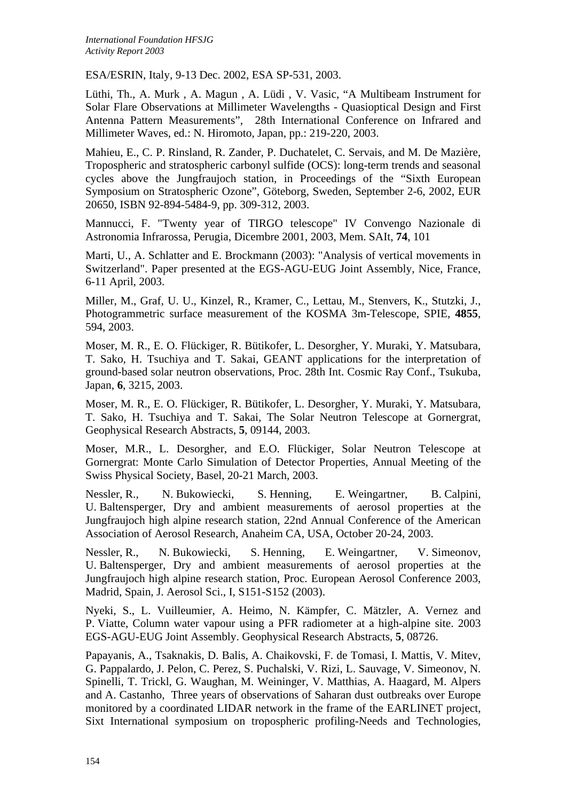ESA/ESRIN, Italy, 9-13 Dec. 2002, ESA SP-531, 2003.

Lüthi, Th., A. Murk , A. Magun , A. Lüdi , V. Vasic, "A Multibeam Instrument for Solar Flare Observations at Millimeter Wavelengths - Quasioptical Design and First Antenna Pattern Measurements", 28th International Conference on Infrared and Millimeter Waves, ed.: N. Hiromoto, Japan, pp.: 219-220, 2003.

Mahieu, E., C. P. Rinsland, R. Zander, P. Duchatelet, C. Servais, and M. De Mazière, Tropospheric and stratospheric carbonyl sulfide (OCS): long-term trends and seasonal cycles above the Jungfraujoch station, in Proceedings of the "Sixth European Symposium on Stratospheric Ozone", Göteborg, Sweden, September 2-6, 2002, EUR 20650, ISBN 92-894-5484-9, pp. 309-312, 2003.

Mannucci, F. "Twenty year of TIRGO telescope" IV Convengo Nazionale di Astronomia Infrarossa, Perugia, Dicembre 2001, 2003, Mem. SAIt, **74**, 101

Marti, U., A. Schlatter and E. Brockmann (2003): "Analysis of vertical movements in Switzerland". Paper presented at the EGS-AGU-EUG Joint Assembly, Nice, France, 6-11 April, 2003.

Miller, M., Graf, U. U., Kinzel, R., Kramer, C., Lettau, M., Stenvers, K., Stutzki, J., Photogrammetric surface measurement of the KOSMA 3m-Telescope, SPIE, **4855**, 594, 2003.

Moser, M. R., E. O. Flückiger, R. Bütikofer, L. Desorgher, Y. Muraki, Y. Matsubara, T. Sako, H. Tsuchiya and T. Sakai, GEANT applications for the interpretation of ground-based solar neutron observations, Proc. 28th Int. Cosmic Ray Conf., Tsukuba, Japan, **6**, 3215, 2003.

Moser, M. R., E. O. Flückiger, R. Bütikofer, L. Desorgher, Y. Muraki, Y. Matsubara, T. Sako, H. Tsuchiya and T. Sakai, The Solar Neutron Telescope at Gornergrat, Geophysical Research Abstracts, **5**, 09144, 2003.

Moser, M.R., L. Desorgher, and E.O. Flückiger, Solar Neutron Telescope at Gornergrat: Monte Carlo Simulation of Detector Properties, Annual Meeting of the Swiss Physical Society, Basel, 20-21 March, 2003.

Nessler, R., N. Bukowiecki, S. Henning, E. Weingartner, B. Calpini, U. Baltensperger, Dry and ambient measurements of aerosol properties at the Jungfraujoch high alpine research station, 22nd Annual Conference of the American Association of Aerosol Research, Anaheim CA, USA, October 20-24, 2003.

Nessler, R., N. Bukowiecki, S. Henning, E. Weingartner, V. Simeonov, U. Baltensperger, Dry and ambient measurements of aerosol properties at the Jungfraujoch high alpine research station, Proc. European Aerosol Conference 2003, Madrid, Spain, J. Aerosol Sci., I, S151-S152 (2003).

Nyeki, S., L. Vuilleumier, A. Heimo, N. Kämpfer, C. Mätzler, A. Vernez and P. Viatte, Column water vapour using a PFR radiometer at a high-alpine site. 2003 EGS-AGU-EUG Joint Assembly. Geophysical Research Abstracts, **5**, 08726.

Papayanis, A., Tsaknakis, D. Balis, A. Chaikovski, F. de Tomasi, I. Mattis, V. Mitev, G. Pappalardo, J. Pelon, C. Perez, S. Puchalski, V. Rizi, L. Sauvage, V. Simeonov, N. Spinelli, T. Trickl, G. Waughan, M. Weininger, V. Matthias, A. Haagard, M. Alpers and A. Castanho, Three years of observations of Saharan dust outbreaks over Europe monitored by a coordinated LIDAR network in the frame of the EARLINET project, Sixt International symposium on tropospheric profiling-Needs and Technologies,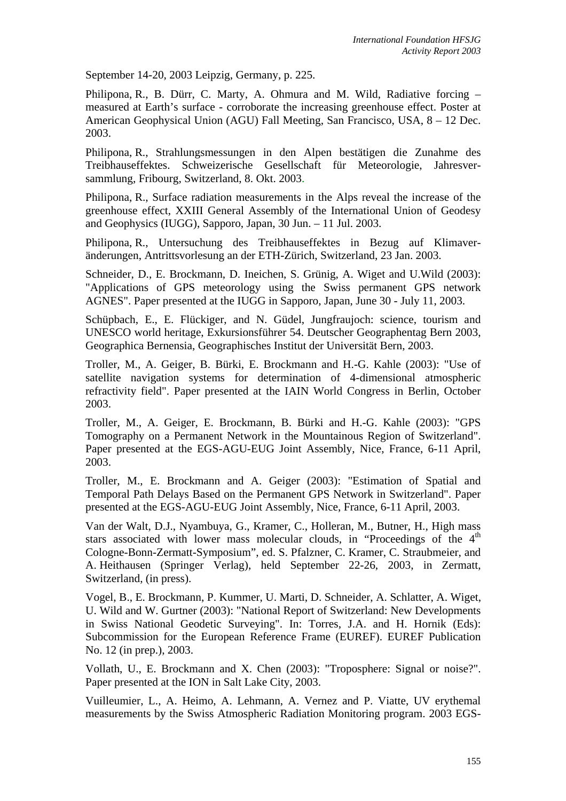September 14-20, 2003 Leipzig, Germany, p. 225.

Philipona, R., B. Dürr, C. Marty, A. Ohmura and M. Wild, Radiative forcing – measured at Earth's surface - corroborate the increasing greenhouse effect. Poster at American Geophysical Union (AGU) Fall Meeting, San Francisco, USA, 8 – 12 Dec. 2003.

Philipona, R., Strahlungsmessungen in den Alpen bestätigen die Zunahme des Treibhauseffektes. Schweizerische Gesellschaft für Meteorologie, Jahresversammlung, Fribourg, Switzerland, 8. Okt. 2003.

Philipona, R., Surface radiation measurements in the Alps reveal the increase of the greenhouse effect, XXIII General Assembly of the International Union of Geodesy and Geophysics (IUGG), Sapporo, Japan, 30 Jun. – 11 Jul. 2003.

Philipona, R., Untersuchung des Treibhauseffektes in Bezug auf Klimaveränderungen, Antrittsvorlesung an der ETH-Zürich, Switzerland, 23 Jan. 2003.

Schneider, D., E. Brockmann, D. Ineichen, S. Grünig, A. Wiget and U.Wild (2003): "Applications of GPS meteorology using the Swiss permanent GPS network AGNES". Paper presented at the IUGG in Sapporo, Japan, June 30 - July 11, 2003.

Schüpbach, E., E. Flückiger, and N. Güdel, Jungfraujoch: science, tourism and UNESCO world heritage, Exkursionsführer 54. Deutscher Geographentag Bern 2003, Geographica Bernensia, Geographisches Institut der Universität Bern, 2003.

Troller, M., A. Geiger, B. Bürki, E. Brockmann and H.-G. Kahle (2003): "Use of satellite navigation systems for determination of 4-dimensional atmospheric refractivity field". Paper presented at the IAIN World Congress in Berlin, October 2003.

Troller, M., A. Geiger, E. Brockmann, B. Bürki and H.-G. Kahle (2003): "GPS Tomography on a Permanent Network in the Mountainous Region of Switzerland". Paper presented at the EGS-AGU-EUG Joint Assembly, Nice, France, 6-11 April, 2003.

Troller, M., E. Brockmann and A. Geiger (2003): "Estimation of Spatial and Temporal Path Delays Based on the Permanent GPS Network in Switzerland". Paper presented at the EGS-AGU-EUG Joint Assembly, Nice, France, 6-11 April, 2003.

Van der Walt, D.J., Nyambuya, G., Kramer, C., Holleran, M., Butner, H., High mass stars associated with lower mass molecular clouds, in "Proceedings of the 4<sup>th</sup> Cologne-Bonn-Zermatt-Symposium", ed. S. Pfalzner, C. Kramer, C. Straubmeier, and A. Heithausen (Springer Verlag), held September 22-26, 2003, in Zermatt, Switzerland, (in press).

Vogel, B., E. Brockmann, P. Kummer, U. Marti, D. Schneider, A. Schlatter, A. Wiget, U. Wild and W. Gurtner (2003): "National Report of Switzerland: New Developments in Swiss National Geodetic Surveying". In: Torres, J.A. and H. Hornik (Eds): Subcommission for the European Reference Frame (EUREF). EUREF Publication No. 12 (in prep.), 2003.

Vollath, U., E. Brockmann and X. Chen (2003): "Troposphere: Signal or noise?". Paper presented at the ION in Salt Lake City, 2003.

Vuilleumier, L., A. Heimo, A. Lehmann, A. Vernez and P. Viatte, UV erythemal measurements by the Swiss Atmospheric Radiation Monitoring program. 2003 EGS-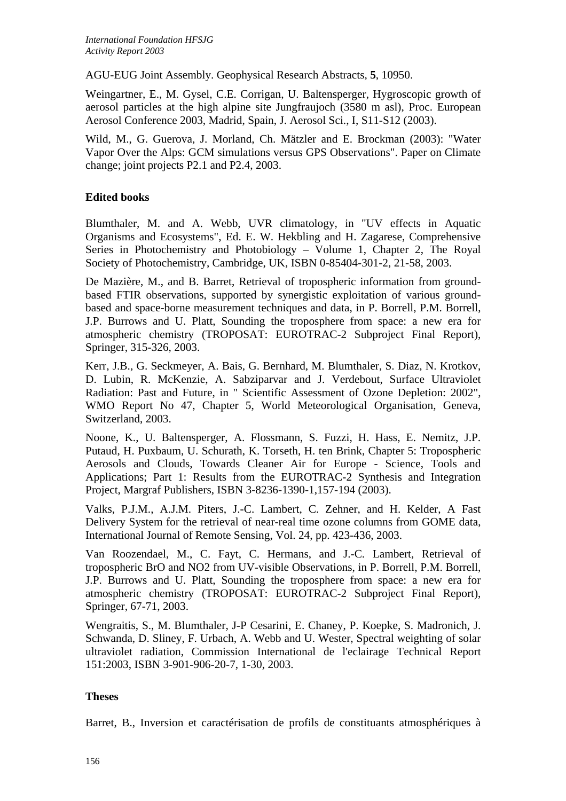AGU-EUG Joint Assembly. Geophysical Research Abstracts, **5**, 10950.

Weingartner, E., M. Gysel, C.E. Corrigan, U. Baltensperger, Hygroscopic growth of aerosol particles at the high alpine site Jungfraujoch (3580 m asl), Proc. European Aerosol Conference 2003, Madrid, Spain, J. Aerosol Sci., I, S11-S12 (2003).

Wild, M., G. Guerova, J. Morland, Ch. Mätzler and E. Brockman (2003): "Water Vapor Over the Alps: GCM simulations versus GPS Observations". Paper on Climate change; joint projects P2.1 and P2.4, 2003.

# **Edited books**

Blumthaler, M. and A. Webb, UVR climatology, in "UV effects in Aquatic Organisms and Ecosystems", Ed. E. W. Hekbling and H. Zagarese, Comprehensive Series in Photochemistry and Photobiology – Volume 1, Chapter 2, The Royal Society of Photochemistry, Cambridge, UK, ISBN 0-85404-301-2, 21-58, 2003.

De Mazière, M., and B. Barret, Retrieval of tropospheric information from groundbased FTIR observations, supported by synergistic exploitation of various groundbased and space-borne measurement techniques and data, in P. Borrell, P.M. Borrell, J.P. Burrows and U. Platt, Sounding the troposphere from space: a new era for atmospheric chemistry (TROPOSAT: EUROTRAC-2 Subproject Final Report), Springer, 315-326, 2003.

Kerr, J.B., G. Seckmeyer, A. Bais, G. Bernhard, M. Blumthaler, S. Diaz, N. Krotkov, D. Lubin, R. McKenzie, A. Sabziparvar and J. Verdebout, Surface Ultraviolet Radiation: Past and Future, in " Scientific Assessment of Ozone Depletion: 2002", WMO Report No 47, Chapter 5, World Meteorological Organisation, Geneva, Switzerland, 2003.

Noone, K., U. Baltensperger, A. Flossmann, S. Fuzzi, H. Hass, E. Nemitz, J.P. Putaud, H. Puxbaum, U. Schurath, K. Torseth, H. ten Brink, Chapter 5: Tropospheric Aerosols and Clouds, Towards Cleaner Air for Europe - Science, Tools and Applications; Part 1: Results from the EUROTRAC-2 Synthesis and Integration Project, Margraf Publishers, ISBN 3-8236-1390-1,157-194 (2003).

Valks, P.J.M., A.J.M. Piters, J.-C. Lambert, C. Zehner, and H. Kelder, A Fast Delivery System for the retrieval of near-real time ozone columns from GOME data, International Journal of Remote Sensing, Vol. 24, pp. 423-436, 2003.

Van Roozendael, M., C. Fayt, C. Hermans, and J.-C. Lambert, Retrieval of tropospheric BrO and NO2 from UV-visible Observations, in P. Borrell, P.M. Borrell, J.P. Burrows and U. Platt, Sounding the troposphere from space: a new era for atmospheric chemistry (TROPOSAT: EUROTRAC-2 Subproject Final Report), Springer, 67-71, 2003.

Wengraitis, S., M. Blumthaler, J-P Cesarini, E. Chaney, P. Koepke, S. Madronich, J. Schwanda, D. Sliney, F. Urbach, A. Webb and U. Wester, Spectral weighting of solar ultraviolet radiation, Commission International de l'eclairage Technical Report 151:2003, ISBN 3-901-906-20-7, 1-30, 2003.

## **Theses**

Barret, B., Inversion et caractérisation de profils de constituants atmosphériques à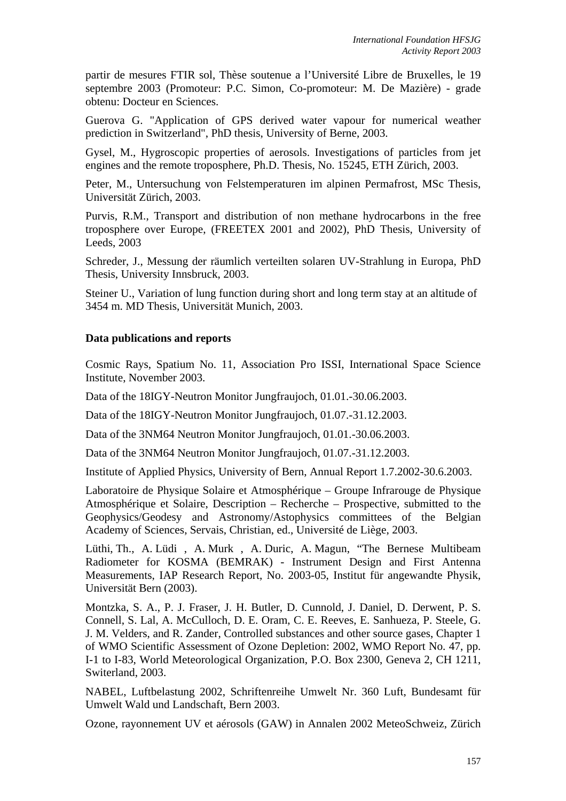partir de mesures FTIR sol, Thèse soutenue a l'Université Libre de Bruxelles, le 19 septembre 2003 (Promoteur: P.C. Simon, Co-promoteur: M. De Mazière) - grade obtenu: Docteur en Sciences.

Guerova G. "Application of GPS derived water vapour for numerical weather prediction in Switzerland", PhD thesis, University of Berne, 2003.

Gysel, M., Hygroscopic properties of aerosols. Investigations of particles from jet engines and the remote troposphere, Ph.D. Thesis, No. 15245, ETH Zürich, 2003.

Peter, M., Untersuchung von Felstemperaturen im alpinen Permafrost, MSc Thesis, Universität Zürich, 2003.

Purvis, R.M., Transport and distribution of non methane hydrocarbons in the free troposphere over Europe, (FREETEX 2001 and 2002), PhD Thesis, University of Leeds, 2003

Schreder, J., Messung der räumlich verteilten solaren UV-Strahlung in Europa, PhD Thesis, University Innsbruck, 2003.

Steiner U., Variation of lung function during short and long term stay at an altitude of 3454 m. MD Thesis, Universität Munich, 2003.

#### **Data publications and reports**

Cosmic Rays, Spatium No. 11, Association Pro ISSI, International Space Science Institute, November 2003.

Data of the 18IGY-Neutron Monitor Jungfraujoch, 01.01.-30.06.2003.

Data of the 18IGY-Neutron Monitor Jungfraujoch, 01.07.-31.12.2003.

Data of the 3NM64 Neutron Monitor Jungfraujoch, 01.01.-30.06.2003.

Data of the 3NM64 Neutron Monitor Jungfraujoch, 01.07.-31.12.2003.

Institute of Applied Physics, University of Bern, Annual Report 1.7.2002-30.6.2003.

Laboratoire de Physique Solaire et Atmosphérique – Groupe Infrarouge de Physique Atmosphérique et Solaire, Description – Recherche – Prospective, submitted to the Geophysics/Geodesy and Astronomy/Astophysics committees of the Belgian Academy of Sciences, Servais, Christian, ed., Université de Liège, 2003.

Lüthi, Th., A. Lüdi , A. Murk , A. Duric, A. Magun, "The Bernese Multibeam Radiometer for KOSMA (BEMRAK) - Instrument Design and First Antenna Measurements, IAP Research Report, No. 2003-05, Institut für angewandte Physik, Universität Bern (2003).

Montzka, S. A., P. J. Fraser, J. H. Butler, D. Cunnold, J. Daniel, D. Derwent, P. S. Connell, S. Lal, A. McCulloch, D. E. Oram, C. E. Reeves, E. Sanhueza, P. Steele, G. J. M. Velders, and R. Zander, Controlled substances and other source gases, Chapter 1 of WMO Scientific Assessment of Ozone Depletion: 2002, WMO Report No. 47, pp. I-1 to I-83, World Meteorological Organization, P.O. Box 2300, Geneva 2, CH 1211, Switerland, 2003.

NABEL, Luftbelastung 2002, Schriftenreihe Umwelt Nr. 360 Luft, Bundesamt für Umwelt Wald und Landschaft, Bern 2003.

Ozone, rayonnement UV et aérosols (GAW) in Annalen 2002 MeteoSchweiz, Zürich